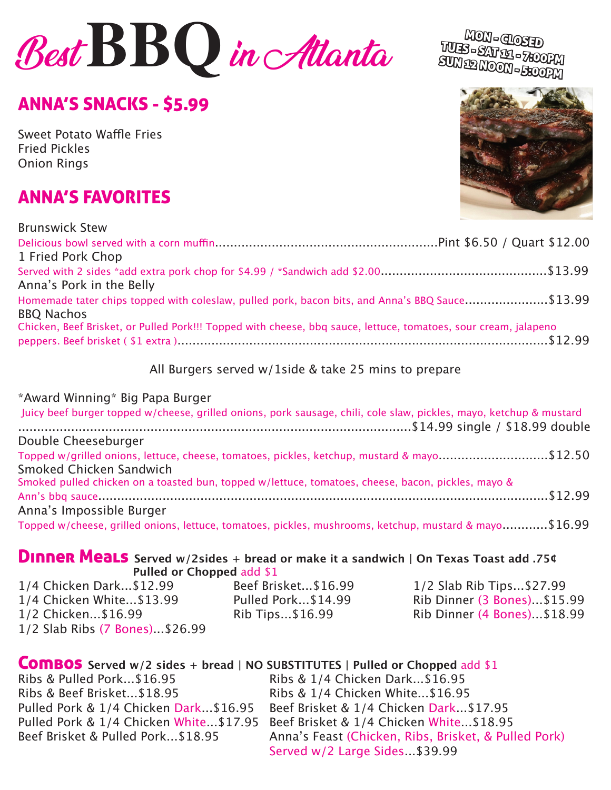# **Best BBQ** in Atlanta MON- ALONG

# ANNA'S SNACKS - \$5.99

Sweet Potato Waffle Fries Fried Pickles Onion Rings

# ANNA'S FAVORITES

Brunswick Stew

| <b>DIUIISWICK SLEW</b>                                                                                          |  |
|-----------------------------------------------------------------------------------------------------------------|--|
|                                                                                                                 |  |
| 1 Fried Pork Chop                                                                                               |  |
|                                                                                                                 |  |
| Anna's Pork in the Belly                                                                                        |  |
| Homemade tater chips topped with coleslaw, pulled pork, bacon bits, and Anna's BBQ Sauce\$13.99                 |  |
| <b>BBQ Nachos</b>                                                                                               |  |
| Chicken, Beef Brisket, or Pulled Pork!!! Topped with cheese, bbq sauce, lettuce, tomatoes, sour cream, jalapeno |  |
|                                                                                                                 |  |
|                                                                                                                 |  |

All Burgers served w/1side & take 25 mins to prepare

#### \*Award Winning\* Big Papa Burger

| Juicy beef burger topped w/cheese, grilled onions, pork sausage, chili, cole slaw, pickles, mayo, ketchup & mustard    |  |
|------------------------------------------------------------------------------------------------------------------------|--|
| Double Cheeseburger                                                                                                    |  |
| Topped w/grilled onions, lettuce, cheese, tomatoes, pickles, ketchup, mustard & mayo\$12.50<br>Smoked Chicken Sandwich |  |
| Smoked pulled chicken on a toasted bun, topped w/lettuce, tomatoes, cheese, bacon, pickles, mayo &                     |  |
| Anna's Impossible Burger                                                                                               |  |
| Topped w/cheese, grilled onions, lettuce, tomatoes, pickles, mushrooms, ketchup, mustard & mayo\$16.99                 |  |

# Dinner Meals **Served w/2sides + bread or make it a sandwich | On Texas Toast add .75¢ Pulled or Chopped add \$1<br>\$12.99 Beef Brisket...\$16.99**

1/4 Chicken Dark...\$12.99 Beef Brisket...\$16.99 1/2 Slab Rib Tips...\$27.99 1/4 Chicken White...\$13.99 Pulled Pork...\$14.99 Rib Dinner (3 Bones)...\$15.99<br>1/2 Chicken...\$16.99 Rib Tips...\$16.99 Rib Dinner (4 Bones)...\$18.99 1/2 Slab Ribs (7 Bones)...\$26.99

1/2 Chicken...\$16.99 Rib Tips...\$16.99 Rib Dinner (4 Bones)...\$18.99

# **COMBOS** Served w/2 sides + bread | NO SUBSTITUTES | Pulled or Chopped add \$1<br>Ribs & Pulled Pork...\$16.95 Ribs & 1/4 Chicken Dark...\$16.95

Ribs & Pulled Pork...\$16.95<br>Ribs & Beef Brisket...\$18.95 Ribs & 1/4 Chicken White...\$16.95 Ribs & 1/4 Chicken White...\$16.95<br>Beef Brisket & 1/4 Chicken Dark...\$17.95 Pulled Pork & 1/4 Chicken Dark... \$16.95 Pulled Pork & 1/4 Chicken White...\$17.95 Beef Brisket & 1/4 Chicken White...\$18.95<br>Reef Brisket & Pulled Pork...\$18.95 Anna's Feast (Chicken, Ribs, Brisket, & Pull Anna's Feast (Chicken, Ribs, Brisket, & Pulled Pork) Served w/2 Large Sides...\$39.99



TUES - SAT 11 - 7:00PM SUN 12 NOOM- 5:0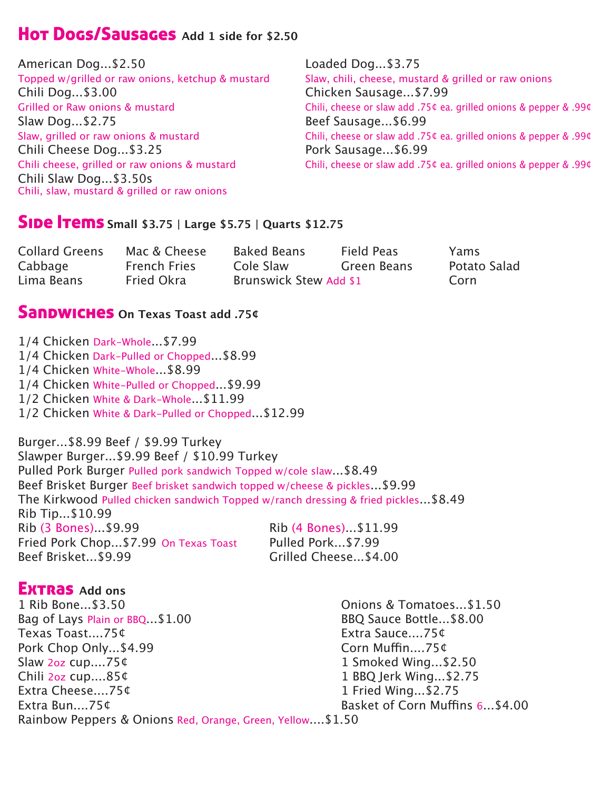### Hot Dogs/Sausages **Add 1 side for \$2.50**

| American Dog\$2.50                                                                                                     | Loaded Dog\$3.75                                                  |
|------------------------------------------------------------------------------------------------------------------------|-------------------------------------------------------------------|
| Topped w/grilled or raw onions, ketchup & mustard                                                                      | Slaw, chili, cheese, mustard & grilled or raw onions              |
| Chili Dog\$3.00                                                                                                        | Chicken Sausage\$7.99                                             |
| Grilled or Raw onions & mustard                                                                                        | Chili, cheese or slaw add .75¢ ea. grilled onions & pepper & .99¢ |
| Slaw Dog\$2.75                                                                                                         | Beef Sausage\$6.99                                                |
| Slaw, grilled or raw onions & mustard                                                                                  | Chili, cheese or slaw add .75¢ ea. grilled onions & pepper & .99¢ |
| Chili Cheese Dog\$3.25                                                                                                 | Pork Sausage\$6.99                                                |
| Chili cheese, grilled or raw onions & mustard<br>Chili Slaw Dog\$3.50s<br>Chili, slaw, mustard & grilled or raw onions | Chili, cheese or slaw add .75¢ ea. grilled onions & pepper & .99¢ |

# **Side Trems** Small \$3.75 | Large \$5.75 | Quarts \$12.75

| <b>Collard Greens</b> | Mac & Cheese        | Baked Beans            | Field Peas  | Yams         |
|-----------------------|---------------------|------------------------|-------------|--------------|
| Cabbage               | <b>French Fries</b> | Cole Slaw              | Green Beans | Potato Salad |
| Lima Beans            | Fried Okra          | Brunswick Stew Add \$1 |             | Corn         |

#### Sandwiches **On Texas Toast add .75¢**

1/4 Chicken Dark-Whole...\$7.99 1/4 Chicken Dark-Pulled or Chopped...\$8.99 1/4 Chicken White-Whole...\$8.99 1/4 Chicken White-Pulled or Chopped...\$9.99 1/2 Chicken White & Dark-Whole...\$11.99 1/2 Chicken White & Dark-Pulled or Chopped...\$12.99 Burger...\$8.99 Beef / \$9.99 Turkey Slawper Burger...\$9.99 Beef / \$10.99 Turkey Pulled Pork Burger Pulled pork sandwich Topped w/cole slaw...\$8.49 Beef Brisket Burger Beef brisket sandwich topped w/cheese & pickles...\$9.99 The Kirkwood Pulled chicken sandwich Topped w/ranch dressing & fried pickles...\$8.49 Rib Tip...\$10.99<br>Rib (3 Bones)...\$9.99 Rib (4 Bones)...\$11.99<br>Pulled Pork...\$7.99 Fried Pork Chop...\$7.99 On Texas Toast<br>Beef Brisket...\$9.99 Grilled Cheese... \$4.00

# **EXTRAS** Add ons<br>1 Rib Bone...\$3.50

Bag of Lays Plain or BBQ...\$1.00 BBQ Sauce Bottle...\$8.00 Texas Toast....75¢<br>Pork Chop Only...\$4.99 Corn Muffin....75¢ Pork Chop Only...\$4.99<br>Slaw 2oz cup....75¢ Slaw 2oz cup....75¢ 1 Smoked Wing...\$2.50 Chili 2oz cup....85¢ 1 BBQ Jerk Wing...\$2.75 Extra Cheese....75¢ 1 Fried Wing...\$2.75 Rainbow Peppers & Onions Red, Orange, Green, Yellow....\$1.50

Onions & Tomatoes...\$1.50<br>BBO Sauce Bottle...\$8.00 Basket of Corn Muffins 6...\$4.00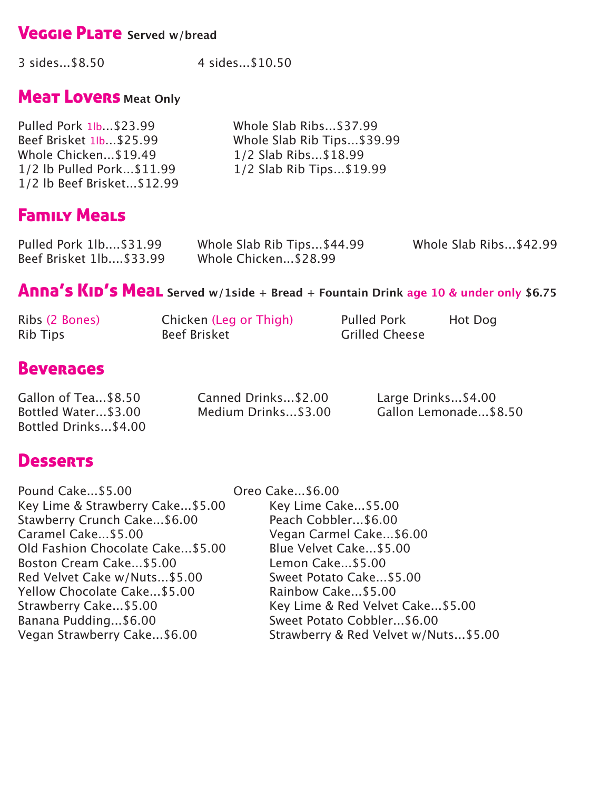# **Veggie Plate** Served w/bread

3 sides...\$8.50 4 sides...\$10.50

# **Mear Lovers Meat Only**

| Pulled Pork 1 <sup>b</sup> \$23.99 | Whole Slab Ribs\$37.99     |
|------------------------------------|----------------------------|
| Beef Brisket 1Ib. \$25.99          | Whole Slab Rib Tips\$39.99 |
| Whole Chicken\$19.49               | 1/2 Slab Ribs\$18.99       |
| 1/2 lb Pulled Pork \$11.99         | 1/2 Slab Rib Tips\$19.99   |
| 1/2 lb Beef Brisket \$12.99        |                            |

# Family Meals

| Pulled Pork 1lb\$31.99   | Whole Slab Rib Tips\$44.99 | Whole Slab Ribs\$42.99 |
|--------------------------|----------------------------|------------------------|
| Beef Brisket 1lb \$33.99 | Whole Chicken\$28.99       |                        |

# Anna's KID's Meal Served w/1side + Bread + Fountain Drink age 10 & under only \$6.75

| Ribs (2 Bones)  | Chicken (Leg or Thigh) | <b>Pulled Pork</b>    | Hot Dog |
|-----------------|------------------------|-----------------------|---------|
| <b>Rib Tips</b> | <b>Beef Brisket</b>    | <b>Grilled Cheese</b> |         |

# **Beverages**

| Gallon of Tea\$8.50  | Canned Drinks\$2.00 | Large Drinks\$4.00    |
|----------------------|---------------------|-----------------------|
| Bottled Water\$3.00  | Medium Drinks\$3.00 | Gallon Lemonade\$8.50 |
| Bottled Drinks\$4.00 |                     |                       |

# **Desserts**

| Pound Cake\$5.00                  | Oreo Cake\$6.00                      |
|-----------------------------------|--------------------------------------|
| Key Lime & Strawberry Cake\$5.00  | Key Lime Cake\$5.00                  |
| Stawberry Crunch Cake \$6.00      | Peach Cobbler \$6.00                 |
| Caramel Cake \$5.00               | Vegan Carmel Cake\$6.00              |
| Old Fashion Chocolate Cake \$5.00 | Blue Velvet Cake \$5.00              |
| Boston Cream Cake\$5.00           | Lemon Cake\$5.00                     |
| Red Velvet Cake w/Nuts \$5.00     | Sweet Potato Cake \$5.00             |
| Yellow Chocolate Cake \$5.00      | Rainbow Cake\$5.00                   |
| Strawberry Cake\$5.00             | Key Lime & Red Velvet Cake\$5.00     |
| Banana Pudding\$6.00              | Sweet Potato Cobbler \$6.00          |
| Vegan Strawberry Cake\$6.00       | Strawberry & Red Velvet w/Nuts\$5.00 |
|                                   |                                      |